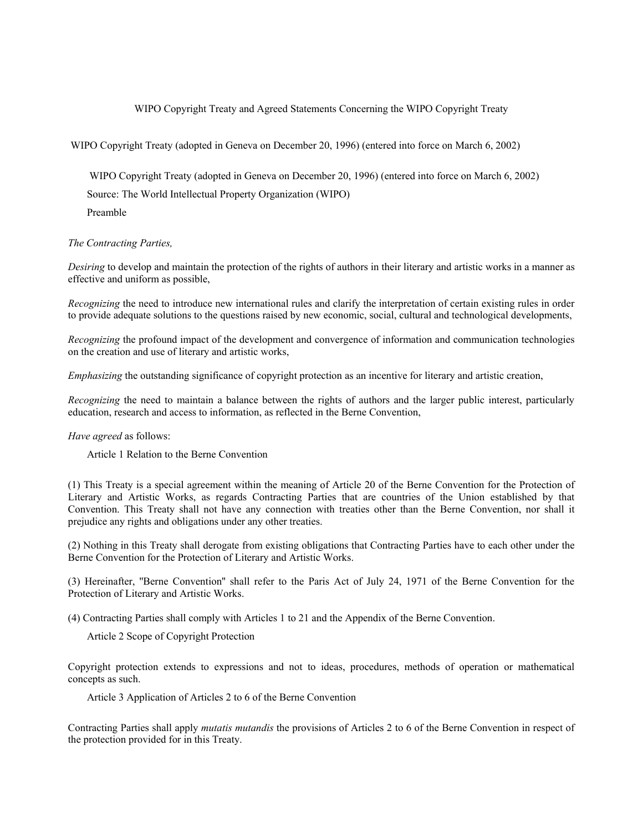# WIPO Copyright Treaty and Agreed Statements Concerning the WIPO Copyright Treaty

WIPO Copyright Treaty (adopted in Geneva on December 20, 1996) (entered into force on March 6, 2002)

WIPO Copyright Treaty (adopted in Geneva on December 20, 1996) (entered into force on March 6, 2002)

Source: The World Intellectual Property Organization (WIPO)

Preamble

# *The Contracting Parties,*

*Desiring* to develop and maintain the protection of the rights of authors in their literary and artistic works in a manner as effective and uniform as possible,

*Recognizing* the need to introduce new international rules and clarify the interpretation of certain existing rules in order to provide adequate solutions to the questions raised by new economic, social, cultural and technological developments,

*Recognizing* the profound impact of the development and convergence of information and communication technologies on the creation and use of literary and artistic works,

*Emphasizing* the outstanding significance of copyright protection as an incentive for literary and artistic creation,

*Recognizing* the need to maintain a balance between the rights of authors and the larger public interest, particularly education, research and access to information, as reflected in the Berne Convention,

## *Have agreed* as follows:

Article 1 Relation to the Berne Convention

(1) This Treaty is a special agreement within the meaning of Article 20 of the Berne Convention for the Protection of Literary and Artistic Works, as regards Contracting Parties that are countries of the Union established by that Convention. This Treaty shall not have any connection with treaties other than the Berne Convention, nor shall it prejudice any rights and obligations under any other treaties.

(2) Nothing in this Treaty shall derogate from existing obligations that Contracting Parties have to each other under the Berne Convention for the Protection of Literary and Artistic Works.

(3) Hereinafter, ''Berne Convention'' shall refer to the Paris Act of July 24, 1971 of the Berne Convention for the Protection of Literary and Artistic Works.

(4) Contracting Parties shall comply with Articles 1 to 21 and the Appendix of the Berne Convention.

Article 2 Scope of Copyright Protection

Copyright protection extends to expressions and not to ideas, procedures, methods of operation or mathematical concepts as such.

Article 3 Application of Articles 2 to 6 of the Berne Convention

Contracting Parties shall apply *mutatis mutandis* the provisions of Articles 2 to 6 of the Berne Convention in respect of the protection provided for in this Treaty.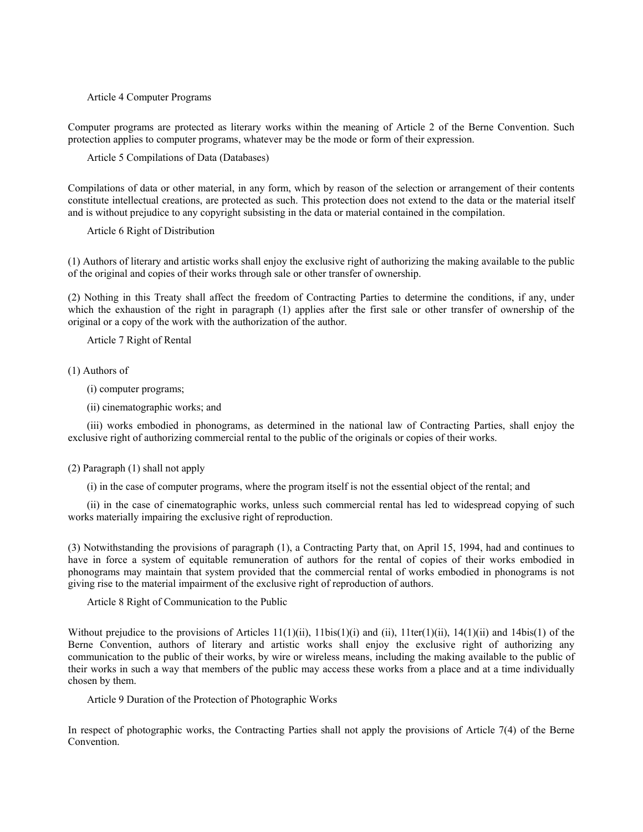Article 4 Computer Programs

Computer programs are protected as literary works within the meaning of Article 2 of the Berne Convention. Such protection applies to computer programs, whatever may be the mode or form of their expression.

Article 5 Compilations of Data (Databases)

Compilations of data or other material, in any form, which by reason of the selection or arrangement of their contents constitute intellectual creations, are protected as such. This protection does not extend to the data or the material itself and is without prejudice to any copyright subsisting in the data or material contained in the compilation.

Article 6 Right of Distribution

(1) Authors of literary and artistic works shall enjoy the exclusive right of authorizing the making available to the public of the original and copies of their works through sale or other transfer of ownership.

(2) Nothing in this Treaty shall affect the freedom of Contracting Parties to determine the conditions, if any, under which the exhaustion of the right in paragraph (1) applies after the first sale or other transfer of ownership of the original or a copy of the work with the authorization of the author.

Article 7 Right of Rental

(1) Authors of

- (i) computer programs;
- (ii) cinematographic works; and

(iii) works embodied in phonograms, as determined in the national law of Contracting Parties, shall enjoy the exclusive right of authorizing commercial rental to the public of the originals or copies of their works.

#### (2) Paragraph (1) shall not apply

(i) in the case of computer programs, where the program itself is not the essential object of the rental; and

(ii) in the case of cinematographic works, unless such commercial rental has led to widespread copying of such works materially impairing the exclusive right of reproduction.

(3) Notwithstanding the provisions of paragraph (1), a Contracting Party that, on April 15, 1994, had and continues to have in force a system of equitable remuneration of authors for the rental of copies of their works embodied in phonograms may maintain that system provided that the commercial rental of works embodied in phonograms is not giving rise to the material impairment of the exclusive right of reproduction of authors.

Article 8 Right of Communication to the Public

Without prejudice to the provisions of Articles  $11(1)(ii)$ ,  $11bis(1)(i)$  and  $(ii)$ ,  $11ter(1)(ii)$ ,  $14(1)(ii)$  and  $14bis(1)$  of the Berne Convention, authors of literary and artistic works shall enjoy the exclusive right of authorizing any communication to the public of their works, by wire or wireless means, including the making available to the public of their works in such a way that members of the public may access these works from a place and at a time individually chosen by them.

Article 9 Duration of the Protection of Photographic Works

In respect of photographic works, the Contracting Parties shall not apply the provisions of Article 7(4) of the Berne Convention.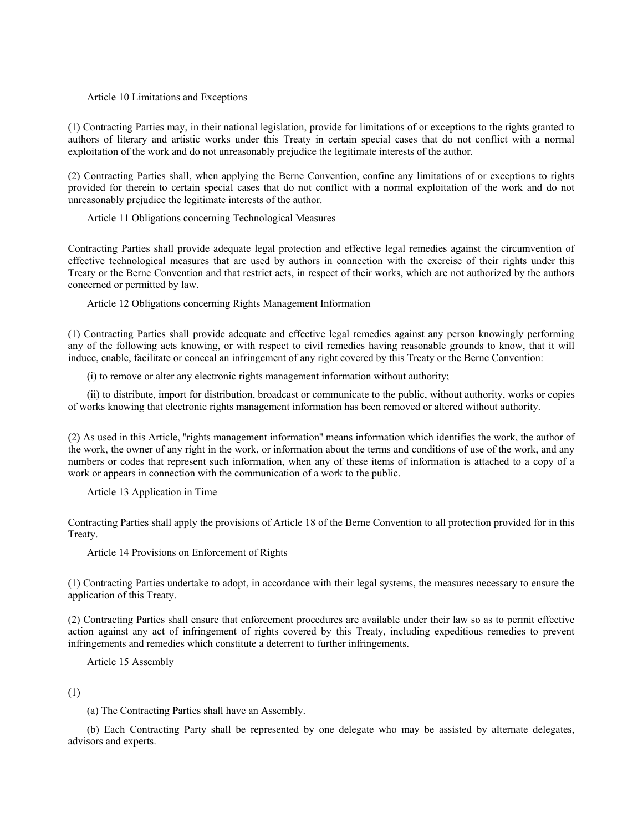## Article 10 Limitations and Exceptions

(1) Contracting Parties may, in their national legislation, provide for limitations of or exceptions to the rights granted to authors of literary and artistic works under this Treaty in certain special cases that do not conflict with a normal exploitation of the work and do not unreasonably prejudice the legitimate interests of the author.

(2) Contracting Parties shall, when applying the Berne Convention, confine any limitations of or exceptions to rights provided for therein to certain special cases that do not conflict with a normal exploitation of the work and do not unreasonably prejudice the legitimate interests of the author.

Article 11 Obligations concerning Technological Measures

Contracting Parties shall provide adequate legal protection and effective legal remedies against the circumvention of effective technological measures that are used by authors in connection with the exercise of their rights under this Treaty or the Berne Convention and that restrict acts, in respect of their works, which are not authorized by the authors concerned or permitted by law.

Article 12 Obligations concerning Rights Management Information

(1) Contracting Parties shall provide adequate and effective legal remedies against any person knowingly performing any of the following acts knowing, or with respect to civil remedies having reasonable grounds to know, that it will induce, enable, facilitate or conceal an infringement of any right covered by this Treaty or the Berne Convention:

(i) to remove or alter any electronic rights management information without authority;

(ii) to distribute, import for distribution, broadcast or communicate to the public, without authority, works or copies of works knowing that electronic rights management information has been removed or altered without authority.

(2) As used in this Article, ''rights management information'' means information which identifies the work, the author of the work, the owner of any right in the work, or information about the terms and conditions of use of the work, and any numbers or codes that represent such information, when any of these items of information is attached to a copy of a work or appears in connection with the communication of a work to the public.

Article 13 Application in Time

Contracting Parties shall apply the provisions of Article 18 of the Berne Convention to all protection provided for in this Treaty.

Article 14 Provisions on Enforcement of Rights

(1) Contracting Parties undertake to adopt, in accordance with their legal systems, the measures necessary to ensure the application of this Treaty.

(2) Contracting Parties shall ensure that enforcement procedures are available under their law so as to permit effective action against any act of infringement of rights covered by this Treaty, including expeditious remedies to prevent infringements and remedies which constitute a deterrent to further infringements.

Article 15 Assembly

(1)

(a) The Contracting Parties shall have an Assembly.

(b) Each Contracting Party shall be represented by one delegate who may be assisted by alternate delegates, advisors and experts.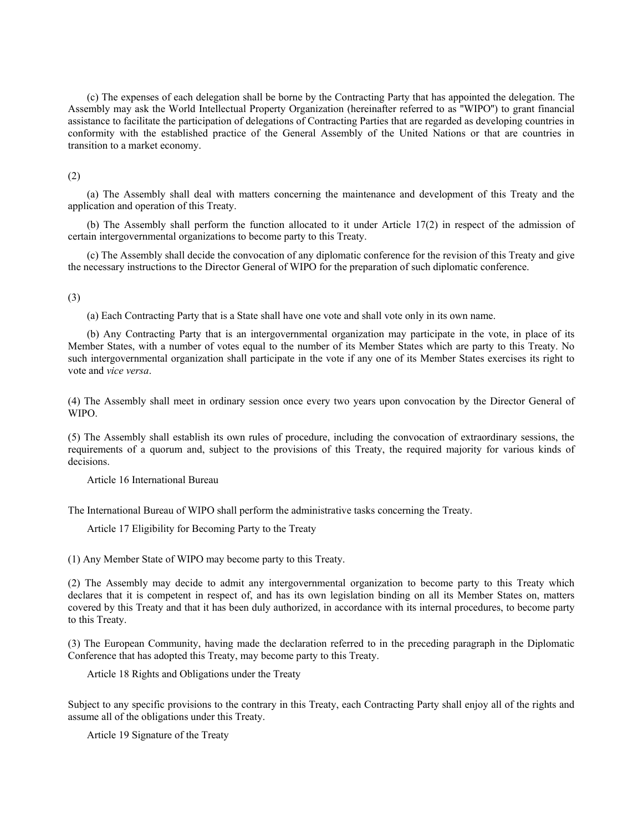(c) The expenses of each delegation shall be borne by the Contracting Party that has appointed the delegation. The Assembly may ask the World Intellectual Property Organization (hereinafter referred to as ''WIPO'') to grant financial assistance to facilitate the participation of delegations of Contracting Parties that are regarded as developing countries in conformity with the established practice of the General Assembly of the United Nations or that are countries in transition to a market economy.

(2)

(a) The Assembly shall deal with matters concerning the maintenance and development of this Treaty and the application and operation of this Treaty.

(b) The Assembly shall perform the function allocated to it under Article 17(2) in respect of the admission of certain intergovernmental organizations to become party to this Treaty.

(c) The Assembly shall decide the convocation of any diplomatic conference for the revision of this Treaty and give the necessary instructions to the Director General of WIPO for the preparation of such diplomatic conference.

(3)

(a) Each Contracting Party that is a State shall have one vote and shall vote only in its own name.

(b) Any Contracting Party that is an intergovernmental organization may participate in the vote, in place of its Member States, with a number of votes equal to the number of its Member States which are party to this Treaty. No such intergovernmental organization shall participate in the vote if any one of its Member States exercises its right to vote and *vice versa*.

(4) The Assembly shall meet in ordinary session once every two years upon convocation by the Director General of WIPO.

(5) The Assembly shall establish its own rules of procedure, including the convocation of extraordinary sessions, the requirements of a quorum and, subject to the provisions of this Treaty, the required majority for various kinds of decisions.

Article 16 International Bureau

The International Bureau of WIPO shall perform the administrative tasks concerning the Treaty.

Article 17 Eligibility for Becoming Party to the Treaty

(1) Any Member State of WIPO may become party to this Treaty.

(2) The Assembly may decide to admit any intergovernmental organization to become party to this Treaty which declares that it is competent in respect of, and has its own legislation binding on all its Member States on, matters covered by this Treaty and that it has been duly authorized, in accordance with its internal procedures, to become party to this Treaty.

(3) The European Community, having made the declaration referred to in the preceding paragraph in the Diplomatic Conference that has adopted this Treaty, may become party to this Treaty.

Article 18 Rights and Obligations under the Treaty

Subject to any specific provisions to the contrary in this Treaty, each Contracting Party shall enjoy all of the rights and assume all of the obligations under this Treaty.

Article 19 Signature of the Treaty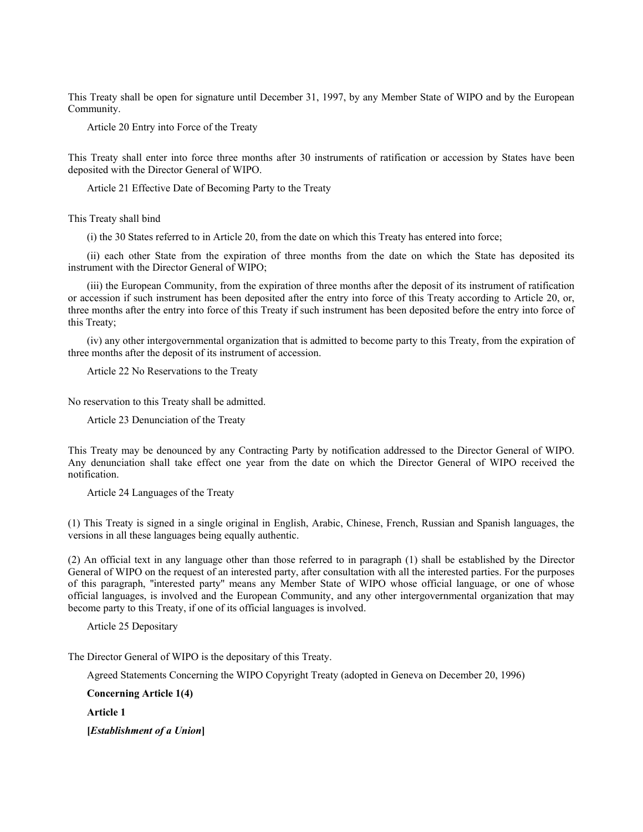This Treaty shall be open for signature until December 31, 1997, by any Member State of WIPO and by the European Community.

Article 20 Entry into Force of the Treaty

This Treaty shall enter into force three months after 30 instruments of ratification or accession by States have been deposited with the Director General of WIPO.

Article 21 Effective Date of Becoming Party to the Treaty

This Treaty shall bind

(i) the 30 States referred to in Article 20, from the date on which this Treaty has entered into force;

(ii) each other State from the expiration of three months from the date on which the State has deposited its instrument with the Director General of WIPO;

(iii) the European Community, from the expiration of three months after the deposit of its instrument of ratification or accession if such instrument has been deposited after the entry into force of this Treaty according to Article 20, or, three months after the entry into force of this Treaty if such instrument has been deposited before the entry into force of this Treaty;

(iv) any other intergovernmental organization that is admitted to become party to this Treaty, from the expiration of three months after the deposit of its instrument of accession.

Article 22 No Reservations to the Treaty

No reservation to this Treaty shall be admitted.

Article 23 Denunciation of the Treaty

This Treaty may be denounced by any Contracting Party by notification addressed to the Director General of WIPO. Any denunciation shall take effect one year from the date on which the Director General of WIPO received the notification.

Article 24 Languages of the Treaty

(1) This Treaty is signed in a single original in English, Arabic, Chinese, French, Russian and Spanish languages, the versions in all these languages being equally authentic.

(2) An official text in any language other than those referred to in paragraph (1) shall be established by the Director General of WIPO on the request of an interested party, after consultation with all the interested parties. For the purposes of this paragraph, ''interested party'' means any Member State of WIPO whose official language, or one of whose official languages, is involved and the European Community, and any other intergovernmental organization that may become party to this Treaty, if one of its official languages is involved.

Article 25 Depositary

The Director General of WIPO is the depositary of this Treaty.

Agreed Statements Concerning the WIPO Copyright Treaty (adopted in Geneva on December 20, 1996)

**Concerning Article 1(4)**

**Article 1** 

**[***Establishment of a Union***]**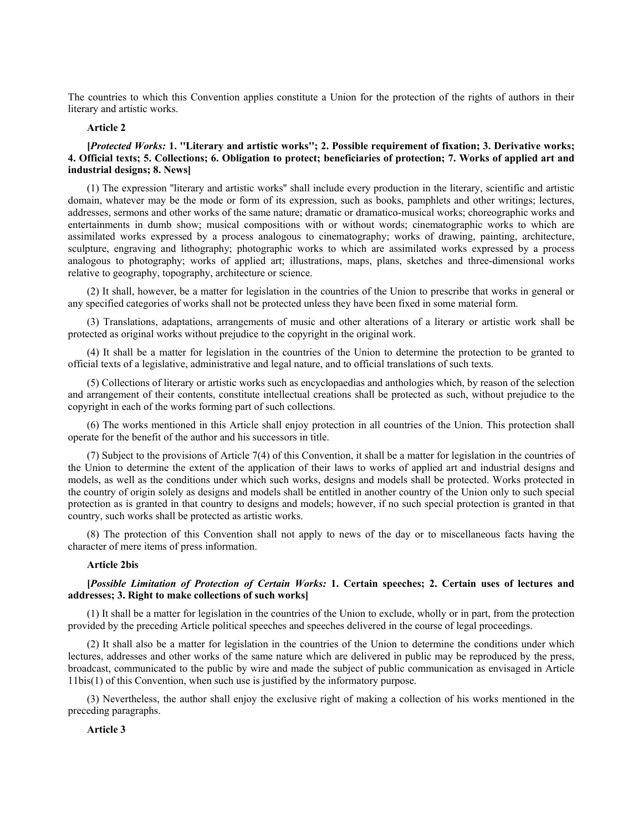The countries to which this Convention applies constitute a Union for the protection of the rights of authors in their literary and artistic works.

# **Article 2**

# **[***Protected Works:* **1. ''Literary and artistic works''; 2. Possible requirement of fixation; 3. Derivative works; 4. Official texts; 5. Collections; 6. Obligation to protect; beneficiaries of protection; 7. Works of applied art and industrial designs; 8. News]**

(1) The expression ''literary and artistic works'' shall include every production in the literary, scientific and artistic domain, whatever may be the mode or form of its expression, such as books, pamphlets and other writings; lectures, addresses, sermons and other works of the same nature; dramatic or dramatico-musical works; choreographic works and entertainments in dumb show; musical compositions with or without words; cinematographic works to which are assimilated works expressed by a process analogous to cinematography; works of drawing, painting, architecture, sculpture, engraving and lithography; photographic works to which are assimilated works expressed by a process analogous to photography; works of applied art; illustrations, maps, plans, sketches and three-dimensional works relative to geography, topography, architecture or science.

(2) It shall, however, be a matter for legislation in the countries of the Union to prescribe that works in general or any specified categories of works shall not be protected unless they have been fixed in some material form.

(3) Translations, adaptations, arrangements of music and other alterations of a literary or artistic work shall be protected as original works without prejudice to the copyright in the original work.

(4) It shall be a matter for legislation in the countries of the Union to determine the protection to be granted to official texts of a legislative, administrative and legal nature, and to official translations of such texts.

(5) Collections of literary or artistic works such as encyclopaedias and anthologies which, by reason of the selection and arrangement of their contents, constitute intellectual creations shall be protected as such, without prejudice to the copyright in each of the works forming part of such collections.

(6) The works mentioned in this Article shall enjoy protection in all countries of the Union. This protection shall operate for the benefit of the author and his successors in title.

(7) Subject to the provisions of Article 7(4) of this Convention, it shall be a matter for legislation in the countries of the Union to determine the extent of the application of their laws to works of applied art and industrial designs and models, as well as the conditions under which such works, designs and models shall be protected. Works protected in the country of origin solely as designs and models shall be entitled in another country of the Union only to such special protection as is granted in that country to designs and models; however, if no such special protection is granted in that country, such works shall be protected as artistic works.

(8) The protection of this Convention shall not apply to news of the day or to miscellaneous facts having the character of mere items of press information.

#### **Article 2bis**

# **[***Possible Limitation of Protection of Certain Works:* **1. Certain speeches; 2. Certain uses of lectures and addresses; 3. Right to make collections of such works]**

(1) It shall be a matter for legislation in the countries of the Union to exclude, wholly or in part, from the protection provided by the preceding Article political speeches and speeches delivered in the course of legal proceedings.

(2) It shall also be a matter for legislation in the countries of the Union to determine the conditions under which lectures, addresses and other works of the same nature which are delivered in public may be reproduced by the press, broadcast, communicated to the public by wire and made the subject of public communication as envisaged in Article 11bis(1) of this Convention, when such use is justified by the informatory purpose.

(3) Nevertheless, the author shall enjoy the exclusive right of making a collection of his works mentioned in the preceding paragraphs.

#### **Article 3**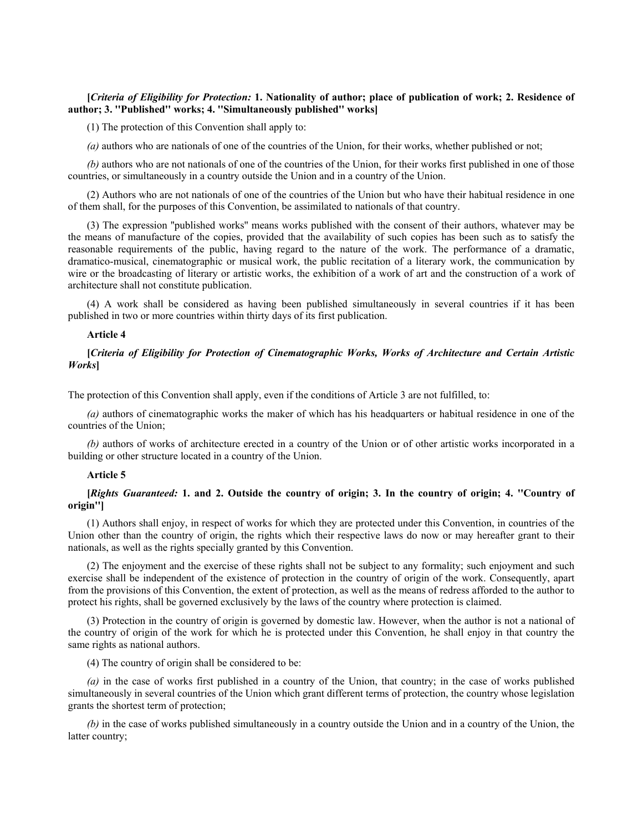## **[***Criteria of Eligibility for Protection:* **1. Nationality of author; place of publication of work; 2. Residence of author; 3. ''Published'' works; 4. ''Simultaneously published'' works]**

(1) The protection of this Convention shall apply to:

*(a)* authors who are nationals of one of the countries of the Union, for their works, whether published or not;

*(b)* authors who are not nationals of one of the countries of the Union, for their works first published in one of those countries, or simultaneously in a country outside the Union and in a country of the Union.

(2) Authors who are not nationals of one of the countries of the Union but who have their habitual residence in one of them shall, for the purposes of this Convention, be assimilated to nationals of that country.

(3) The expression ''published works'' means works published with the consent of their authors, whatever may be the means of manufacture of the copies, provided that the availability of such copies has been such as to satisfy the reasonable requirements of the public, having regard to the nature of the work. The performance of a dramatic, dramatico-musical, cinematographic or musical work, the public recitation of a literary work, the communication by wire or the broadcasting of literary or artistic works, the exhibition of a work of art and the construction of a work of architecture shall not constitute publication.

(4) A work shall be considered as having been published simultaneously in several countries if it has been published in two or more countries within thirty days of its first publication.

## **Article 4**

**[***Criteria of Eligibility for Protection of Cinematographic Works, Works of Architecture and Certain Artistic Works***]**

The protection of this Convention shall apply, even if the conditions of Article 3 are not fulfilled, to:

*(a)* authors of cinematographic works the maker of which has his headquarters or habitual residence in one of the countries of the Union;

*(b)* authors of works of architecture erected in a country of the Union or of other artistic works incorporated in a building or other structure located in a country of the Union.

# **Article 5**

## **[***Rights Guaranteed:* **1. and 2. Outside the country of origin; 3. In the country of origin; 4. ''Country of origin'']**

(1) Authors shall enjoy, in respect of works for which they are protected under this Convention, in countries of the Union other than the country of origin, the rights which their respective laws do now or may hereafter grant to their nationals, as well as the rights specially granted by this Convention.

(2) The enjoyment and the exercise of these rights shall not be subject to any formality; such enjoyment and such exercise shall be independent of the existence of protection in the country of origin of the work. Consequently, apart from the provisions of this Convention, the extent of protection, as well as the means of redress afforded to the author to protect his rights, shall be governed exclusively by the laws of the country where protection is claimed.

(3) Protection in the country of origin is governed by domestic law. However, when the author is not a national of the country of origin of the work for which he is protected under this Convention, he shall enjoy in that country the same rights as national authors.

(4) The country of origin shall be considered to be:

*(a)* in the case of works first published in a country of the Union, that country; in the case of works published simultaneously in several countries of the Union which grant different terms of protection, the country whose legislation grants the shortest term of protection;

*(b)* in the case of works published simultaneously in a country outside the Union and in a country of the Union, the latter country;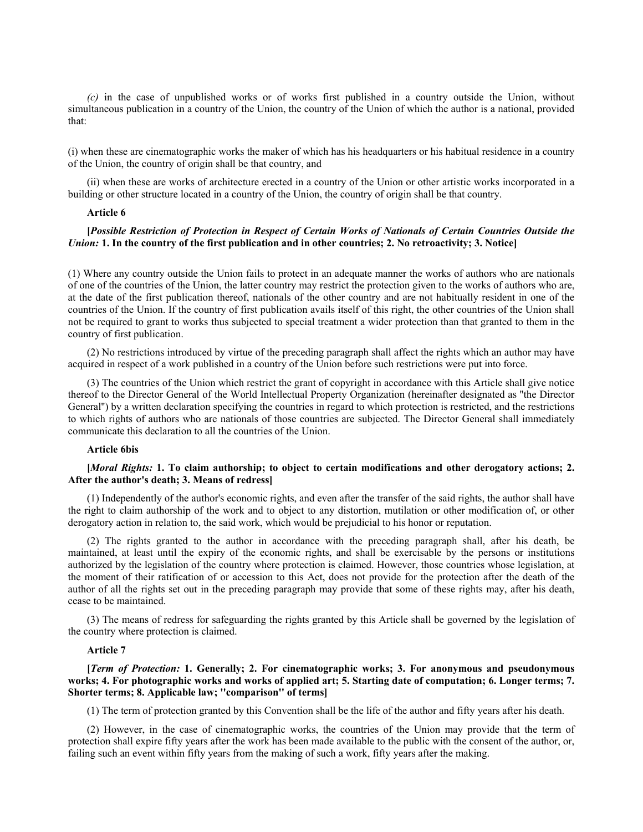*(c)* in the case of unpublished works or of works first published in a country outside the Union, without simultaneous publication in a country of the Union, the country of the Union of which the author is a national, provided that:

(i) when these are cinematographic works the maker of which has his headquarters or his habitual residence in a country of the Union, the country of origin shall be that country, and

(ii) when these are works of architecture erected in a country of the Union or other artistic works incorporated in a building or other structure located in a country of the Union, the country of origin shall be that country.

## **Article 6**

# **[***Possible Restriction of Protection in Respect of Certain Works of Nationals of Certain Countries Outside the Union:* **1. In the country of the first publication and in other countries; 2. No retroactivity; 3. Notice]**

(1) Where any country outside the Union fails to protect in an adequate manner the works of authors who are nationals of one of the countries of the Union, the latter country may restrict the protection given to the works of authors who are, at the date of the first publication thereof, nationals of the other country and are not habitually resident in one of the countries of the Union. If the country of first publication avails itself of this right, the other countries of the Union shall not be required to grant to works thus subjected to special treatment a wider protection than that granted to them in the country of first publication.

(2) No restrictions introduced by virtue of the preceding paragraph shall affect the rights which an author may have acquired in respect of a work published in a country of the Union before such restrictions were put into force.

(3) The countries of the Union which restrict the grant of copyright in accordance with this Article shall give notice thereof to the Director General of the World Intellectual Property Organization (hereinafter designated as ''the Director General'') by a written declaration specifying the countries in regard to which protection is restricted, and the restrictions to which rights of authors who are nationals of those countries are subjected. The Director General shall immediately communicate this declaration to all the countries of the Union.

## **Article 6bis**

### **[***Moral Rights:* **1. To claim authorship; to object to certain modifications and other derogatory actions; 2. After the author's death; 3. Means of redress]**

(1) Independently of the author's economic rights, and even after the transfer of the said rights, the author shall have the right to claim authorship of the work and to object to any distortion, mutilation or other modification of, or other derogatory action in relation to, the said work, which would be prejudicial to his honor or reputation.

(2) The rights granted to the author in accordance with the preceding paragraph shall, after his death, be maintained, at least until the expiry of the economic rights, and shall be exercisable by the persons or institutions authorized by the legislation of the country where protection is claimed. However, those countries whose legislation, at the moment of their ratification of or accession to this Act, does not provide for the protection after the death of the author of all the rights set out in the preceding paragraph may provide that some of these rights may, after his death, cease to be maintained.

(3) The means of redress for safeguarding the rights granted by this Article shall be governed by the legislation of the country where protection is claimed.

#### **Article 7**

# **[***Term of Protection:* **1. Generally; 2. For cinematographic works; 3. For anonymous and pseudonymous works; 4. For photographic works and works of applied art; 5. Starting date of computation; 6. Longer terms; 7. Shorter terms; 8. Applicable law; ''comparison'' of terms]**

(1) The term of protection granted by this Convention shall be the life of the author and fifty years after his death.

(2) However, in the case of cinematographic works, the countries of the Union may provide that the term of protection shall expire fifty years after the work has been made available to the public with the consent of the author, or, failing such an event within fifty years from the making of such a work, fifty years after the making.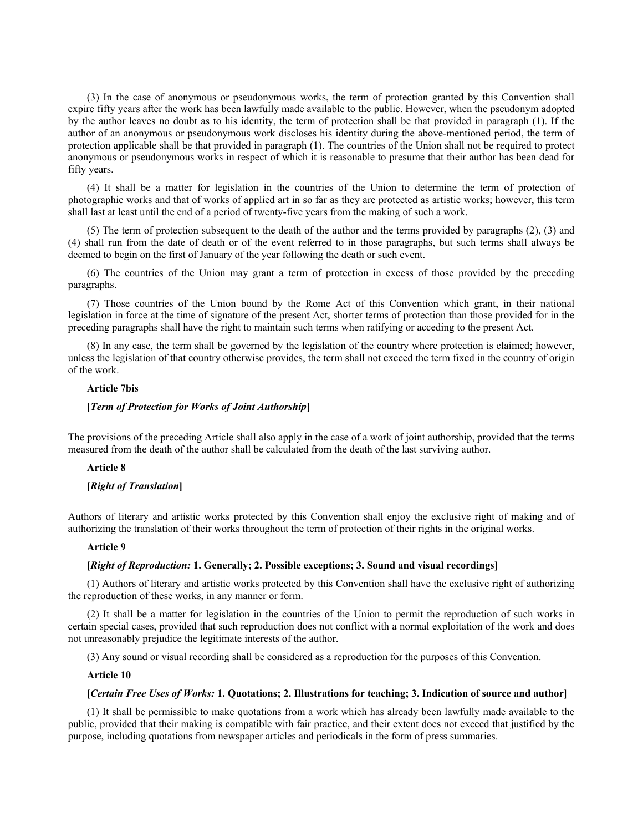(3) In the case of anonymous or pseudonymous works, the term of protection granted by this Convention shall expire fifty years after the work has been lawfully made available to the public. However, when the pseudonym adopted by the author leaves no doubt as to his identity, the term of protection shall be that provided in paragraph (1). If the author of an anonymous or pseudonymous work discloses his identity during the above-mentioned period, the term of protection applicable shall be that provided in paragraph (1). The countries of the Union shall not be required to protect anonymous or pseudonymous works in respect of which it is reasonable to presume that their author has been dead for fifty years.

(4) It shall be a matter for legislation in the countries of the Union to determine the term of protection of photographic works and that of works of applied art in so far as they are protected as artistic works; however, this term shall last at least until the end of a period of twenty-five years from the making of such a work.

(5) The term of protection subsequent to the death of the author and the terms provided by paragraphs (2), (3) and (4) shall run from the date of death or of the event referred to in those paragraphs, but such terms shall always be deemed to begin on the first of January of the year following the death or such event.

(6) The countries of the Union may grant a term of protection in excess of those provided by the preceding paragraphs.

(7) Those countries of the Union bound by the Rome Act of this Convention which grant, in their national legislation in force at the time of signature of the present Act, shorter terms of protection than those provided for in the preceding paragraphs shall have the right to maintain such terms when ratifying or acceding to the present Act.

(8) In any case, the term shall be governed by the legislation of the country where protection is claimed; however, unless the legislation of that country otherwise provides, the term shall not exceed the term fixed in the country of origin of the work.

## **Article 7bis**

#### **[***Term of Protection for Works of Joint Authorship***]**

The provisions of the preceding Article shall also apply in the case of a work of joint authorship, provided that the terms measured from the death of the author shall be calculated from the death of the last surviving author.

#### **Article 8**

## **[***Right of Translation***]**

Authors of literary and artistic works protected by this Convention shall enjoy the exclusive right of making and of authorizing the translation of their works throughout the term of protection of their rights in the original works.

#### **Article 9**

#### **[***Right of Reproduction:* **1. Generally; 2. Possible exceptions; 3. Sound and visual recordings]**

(1) Authors of literary and artistic works protected by this Convention shall have the exclusive right of authorizing the reproduction of these works, in any manner or form.

(2) It shall be a matter for legislation in the countries of the Union to permit the reproduction of such works in certain special cases, provided that such reproduction does not conflict with a normal exploitation of the work and does not unreasonably prejudice the legitimate interests of the author.

(3) Any sound or visual recording shall be considered as a reproduction for the purposes of this Convention.

### **Article 10**

### **[***Certain Free Uses of Works:* **1. Quotations; 2. Illustrations for teaching; 3. Indication of source and author]**

(1) It shall be permissible to make quotations from a work which has already been lawfully made available to the public, provided that their making is compatible with fair practice, and their extent does not exceed that justified by the purpose, including quotations from newspaper articles and periodicals in the form of press summaries.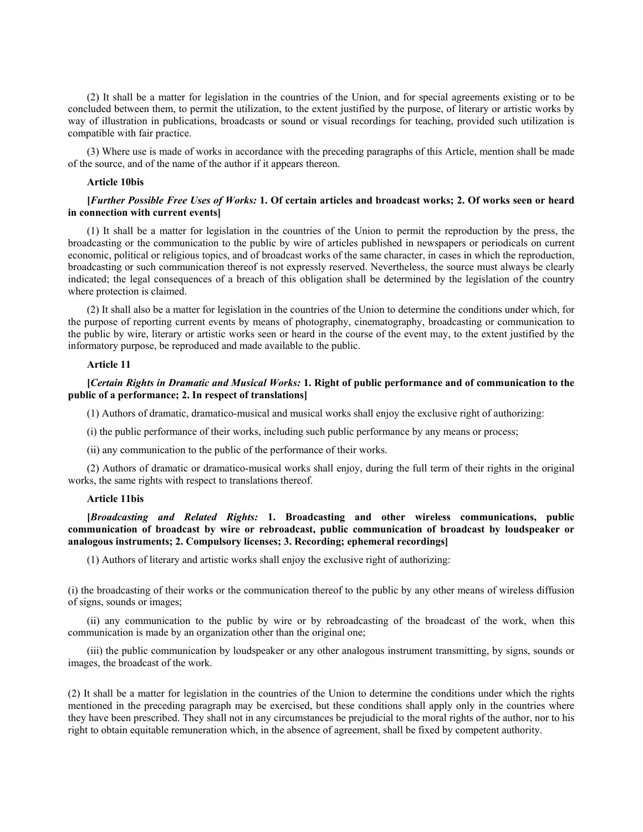(2) It shall be a matter for legislation in the countries of the Union, and for special agreements existing or to be concluded between them, to permit the utilization, to the extent justified by the purpose, of literary or artistic works by way of illustration in publications, broadcasts or sound or visual recordings for teaching, provided such utilization is compatible with fair practice.

(3) Where use is made of works in accordance with the preceding paragraphs of this Article, mention shall be made of the source, and of the name of the author if it appears thereon.

#### **Article 10bis**

### **[***Further Possible Free Uses of Works:* **1. Of certain articles and broadcast works; 2. Of works seen or heard in connection with current events]**

(1) It shall be a matter for legislation in the countries of the Union to permit the reproduction by the press, the broadcasting or the communication to the public by wire of articles published in newspapers or periodicals on current economic, political or religious topics, and of broadcast works of the same character, in cases in which the reproduction, broadcasting or such communication thereof is not expressly reserved. Nevertheless, the source must always be clearly indicated; the legal consequences of a breach of this obligation shall be determined by the legislation of the country where protection is claimed.

(2) It shall also be a matter for legislation in the countries of the Union to determine the conditions under which, for the purpose of reporting current events by means of photography, cinematography, broadcasting or communication to the public by wire, literary or artistic works seen or heard in the course of the event may, to the extent justified by the informatory purpose, be reproduced and made available to the public.

# **Article 11**

### **[***Certain Rights in Dramatic and Musical Works:* **1. Right of public performance and of communication to the public of a performance; 2. In respect of translations]**

(1) Authors of dramatic, dramatico-musical and musical works shall enjoy the exclusive right of authorizing:

(i) the public performance of their works, including such public performance by any means or process;

(ii) any communication to the public of the performance of their works.

(2) Authors of dramatic or dramatico-musical works shall enjoy, during the full term of their rights in the original works, the same rights with respect to translations thereof.

#### **Article 11bis**

**[***Broadcasting and Related Rights:* **1. Broadcasting and other wireless communications, public communication of broadcast by wire or rebroadcast, public communication of broadcast by loudspeaker or analogous instruments; 2. Compulsory licenses; 3. Recording; ephemeral recordings]**

(1) Authors of literary and artistic works shall enjoy the exclusive right of authorizing:

(i) the broadcasting of their works or the communication thereof to the public by any other means of wireless diffusion of signs, sounds or images;

(ii) any communication to the public by wire or by rebroadcasting of the broadcast of the work, when this communication is made by an organization other than the original one;

(iii) the public communication by loudspeaker or any other analogous instrument transmitting, by signs, sounds or images, the broadcast of the work.

(2) It shall be a matter for legislation in the countries of the Union to determine the conditions under which the rights mentioned in the preceding paragraph may be exercised, but these conditions shall apply only in the countries where they have been prescribed. They shall not in any circumstances be prejudicial to the moral rights of the author, nor to his right to obtain equitable remuneration which, in the absence of agreement, shall be fixed by competent authority.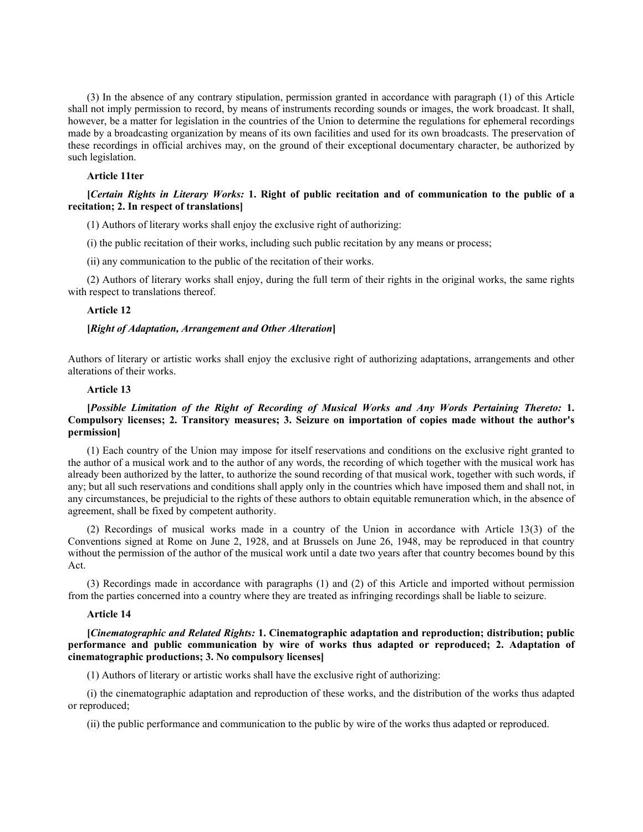(3) In the absence of any contrary stipulation, permission granted in accordance with paragraph (1) of this Article shall not imply permission to record, by means of instruments recording sounds or images, the work broadcast. It shall, however, be a matter for legislation in the countries of the Union to determine the regulations for ephemeral recordings made by a broadcasting organization by means of its own facilities and used for its own broadcasts. The preservation of these recordings in official archives may, on the ground of their exceptional documentary character, be authorized by such legislation.

# **Article 11ter**

## **[***Certain Rights in Literary Works:* **1. Right of public recitation and of communication to the public of a recitation; 2. In respect of translations]**

(1) Authors of literary works shall enjoy the exclusive right of authorizing:

(i) the public recitation of their works, including such public recitation by any means or process;

(ii) any communication to the public of the recitation of their works.

(2) Authors of literary works shall enjoy, during the full term of their rights in the original works, the same rights with respect to translations thereof.

#### **Article 12**

## **[***Right of Adaptation, Arrangement and Other Alteration***]**

Authors of literary or artistic works shall enjoy the exclusive right of authorizing adaptations, arrangements and other alterations of their works.

#### **Article 13**

# **[***Possible Limitation of the Right of Recording of Musical Works and Any Words Pertaining Thereto:* **1. Compulsory licenses; 2. Transitory measures; 3. Seizure on importation of copies made without the author's permission]**

(1) Each country of the Union may impose for itself reservations and conditions on the exclusive right granted to the author of a musical work and to the author of any words, the recording of which together with the musical work has already been authorized by the latter, to authorize the sound recording of that musical work, together with such words, if any; but all such reservations and conditions shall apply only in the countries which have imposed them and shall not, in any circumstances, be prejudicial to the rights of these authors to obtain equitable remuneration which, in the absence of agreement, shall be fixed by competent authority.

(2) Recordings of musical works made in a country of the Union in accordance with Article 13(3) of the Conventions signed at Rome on June 2, 1928, and at Brussels on June 26, 1948, may be reproduced in that country without the permission of the author of the musical work until a date two years after that country becomes bound by this Act.

(3) Recordings made in accordance with paragraphs (1) and (2) of this Article and imported without permission from the parties concerned into a country where they are treated as infringing recordings shall be liable to seizure.

#### **Article 14**

# **[***Cinematographic and Related Rights:* **1. Cinematographic adaptation and reproduction; distribution; public performance and public communication by wire of works thus adapted or reproduced; 2. Adaptation of cinematographic productions; 3. No compulsory licenses]**

(1) Authors of literary or artistic works shall have the exclusive right of authorizing:

(i) the cinematographic adaptation and reproduction of these works, and the distribution of the works thus adapted or reproduced;

(ii) the public performance and communication to the public by wire of the works thus adapted or reproduced.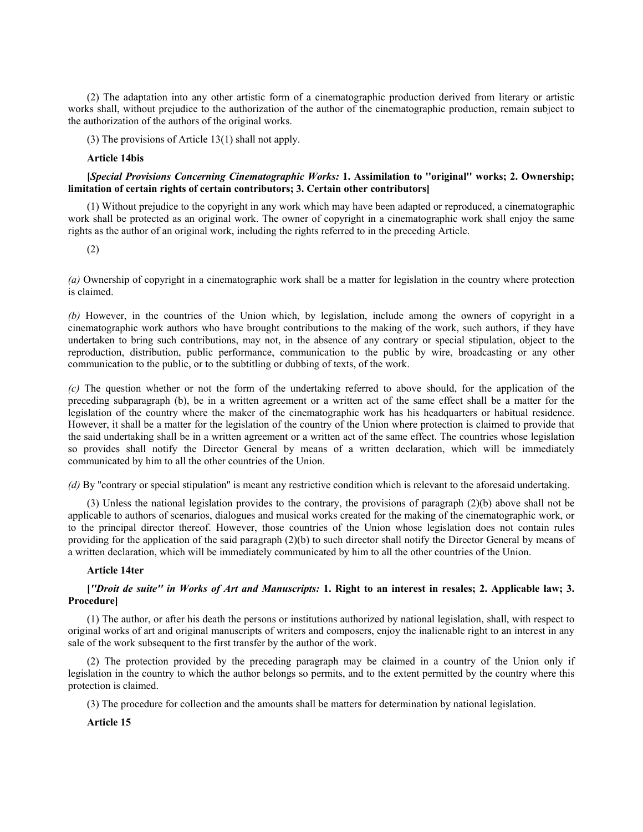(2) The adaptation into any other artistic form of a cinematographic production derived from literary or artistic works shall, without prejudice to the authorization of the author of the cinematographic production, remain subject to the authorization of the authors of the original works.

(3) The provisions of Article 13(1) shall not apply.

#### **Article 14bis**

## **[***Special Provisions Concerning Cinematographic Works:* **1. Assimilation to ''original'' works; 2. Ownership; limitation of certain rights of certain contributors; 3. Certain other contributors]**

(1) Without prejudice to the copyright in any work which may have been adapted or reproduced, a cinematographic work shall be protected as an original work. The owner of copyright in a cinematographic work shall enjoy the same rights as the author of an original work, including the rights referred to in the preceding Article.

(2)

*(a)* Ownership of copyright in a cinematographic work shall be a matter for legislation in the country where protection is claimed.

*(b)* However, in the countries of the Union which, by legislation, include among the owners of copyright in a cinematographic work authors who have brought contributions to the making of the work, such authors, if they have undertaken to bring such contributions, may not, in the absence of any contrary or special stipulation, object to the reproduction, distribution, public performance, communication to the public by wire, broadcasting or any other communication to the public, or to the subtitling or dubbing of texts, of the work.

*(c)* The question whether or not the form of the undertaking referred to above should, for the application of the preceding subparagraph (b), be in a written agreement or a written act of the same effect shall be a matter for the legislation of the country where the maker of the cinematographic work has his headquarters or habitual residence. However, it shall be a matter for the legislation of the country of the Union where protection is claimed to provide that the said undertaking shall be in a written agreement or a written act of the same effect. The countries whose legislation so provides shall notify the Director General by means of a written declaration, which will be immediately communicated by him to all the other countries of the Union.

*(d)* By ''contrary or special stipulation'' is meant any restrictive condition which is relevant to the aforesaid undertaking.

(3) Unless the national legislation provides to the contrary, the provisions of paragraph (2)(b) above shall not be applicable to authors of scenarios, dialogues and musical works created for the making of the cinematographic work, or to the principal director thereof. However, those countries of the Union whose legislation does not contain rules providing for the application of the said paragraph (2)(b) to such director shall notify the Director General by means of a written declaration, which will be immediately communicated by him to all the other countries of the Union.

#### **Article 14ter**

# **[***''Droit de suite'' in Works of Art and Manuscripts:* **1. Right to an interest in resales; 2. Applicable law; 3. Procedure]**

(1) The author, or after his death the persons or institutions authorized by national legislation, shall, with respect to original works of art and original manuscripts of writers and composers, enjoy the inalienable right to an interest in any sale of the work subsequent to the first transfer by the author of the work.

(2) The protection provided by the preceding paragraph may be claimed in a country of the Union only if legislation in the country to which the author belongs so permits, and to the extent permitted by the country where this protection is claimed.

(3) The procedure for collection and the amounts shall be matters for determination by national legislation.

**Article 15**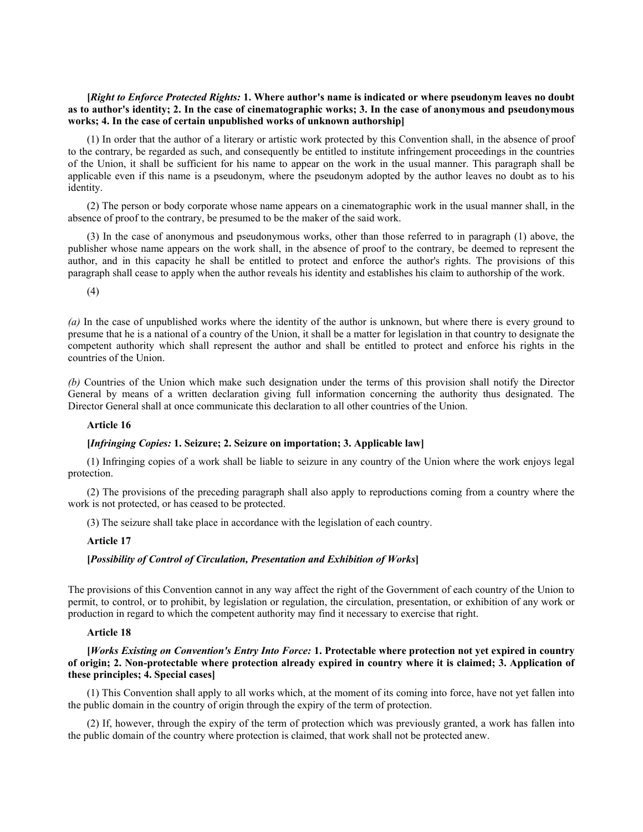# **[***Right to Enforce Protected Rights:* **1. Where author's name is indicated or where pseudonym leaves no doubt as to author's identity; 2. In the case of cinematographic works; 3. In the case of anonymous and pseudonymous works; 4. In the case of certain unpublished works of unknown authorship]**

(1) In order that the author of a literary or artistic work protected by this Convention shall, in the absence of proof to the contrary, be regarded as such, and consequently be entitled to institute infringement proceedings in the countries of the Union, it shall be sufficient for his name to appear on the work in the usual manner. This paragraph shall be applicable even if this name is a pseudonym, where the pseudonym adopted by the author leaves no doubt as to his identity.

(2) The person or body corporate whose name appears on a cinematographic work in the usual manner shall, in the absence of proof to the contrary, be presumed to be the maker of the said work.

(3) In the case of anonymous and pseudonymous works, other than those referred to in paragraph (1) above, the publisher whose name appears on the work shall, in the absence of proof to the contrary, be deemed to represent the author, and in this capacity he shall be entitled to protect and enforce the author's rights. The provisions of this paragraph shall cease to apply when the author reveals his identity and establishes his claim to authorship of the work.

(4)

*(a)* In the case of unpublished works where the identity of the author is unknown, but where there is every ground to presume that he is a national of a country of the Union, it shall be a matter for legislation in that country to designate the competent authority which shall represent the author and shall be entitled to protect and enforce his rights in the countries of the Union.

*(b)* Countries of the Union which make such designation under the terms of this provision shall notify the Director General by means of a written declaration giving full information concerning the authority thus designated. The Director General shall at once communicate this declaration to all other countries of the Union.

## **Article 16**

## **[***Infringing Copies:* **1. Seizure; 2. Seizure on importation; 3. Applicable law]**

(1) Infringing copies of a work shall be liable to seizure in any country of the Union where the work enjoys legal protection.

(2) The provisions of the preceding paragraph shall also apply to reproductions coming from a country where the work is not protected, or has ceased to be protected.

(3) The seizure shall take place in accordance with the legislation of each country.

#### **Article 17**

## **[***Possibility of Control of Circulation, Presentation and Exhibition of Works***]**

The provisions of this Convention cannot in any way affect the right of the Government of each country of the Union to permit, to control, or to prohibit, by legislation or regulation, the circulation, presentation, or exhibition of any work or production in regard to which the competent authority may find it necessary to exercise that right.

## **Article 18**

## **[***Works Existing on Convention's Entry Into Force:* **1. Protectable where protection not yet expired in country of origin; 2. Non-protectable where protection already expired in country where it is claimed; 3. Application of these principles; 4. Special cases]**

(1) This Convention shall apply to all works which, at the moment of its coming into force, have not yet fallen into the public domain in the country of origin through the expiry of the term of protection.

(2) If, however, through the expiry of the term of protection which was previously granted, a work has fallen into the public domain of the country where protection is claimed, that work shall not be protected anew.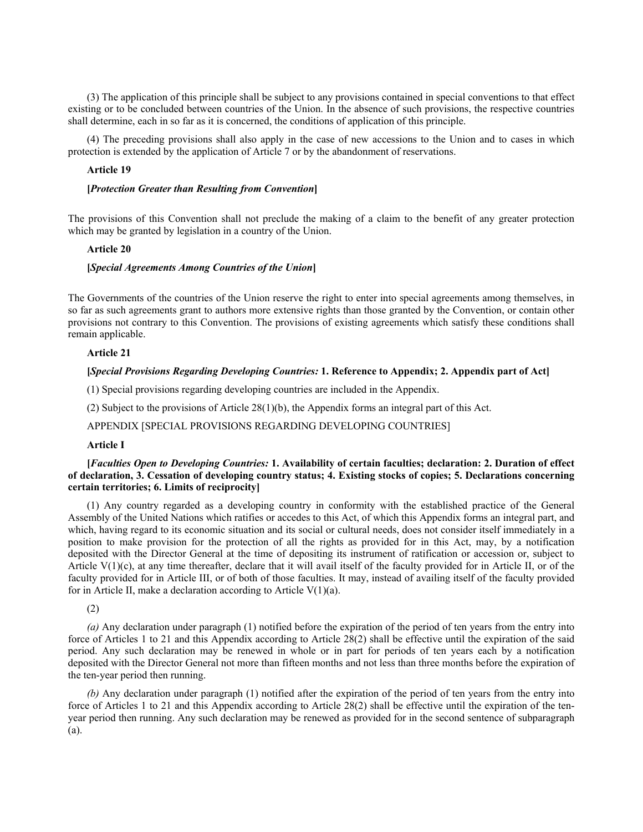(3) The application of this principle shall be subject to any provisions contained in special conventions to that effect existing or to be concluded between countries of the Union. In the absence of such provisions, the respective countries shall determine, each in so far as it is concerned, the conditions of application of this principle.

(4) The preceding provisions shall also apply in the case of new accessions to the Union and to cases in which protection is extended by the application of Article 7 or by the abandonment of reservations.

#### **Article 19**

#### **[***Protection Greater than Resulting from Convention***]**

The provisions of this Convention shall not preclude the making of a claim to the benefit of any greater protection which may be granted by legislation in a country of the Union.

#### **Article 20**

#### **[***Special Agreements Among Countries of the Union***]**

The Governments of the countries of the Union reserve the right to enter into special agreements among themselves, in so far as such agreements grant to authors more extensive rights than those granted by the Convention, or contain other provisions not contrary to this Convention. The provisions of existing agreements which satisfy these conditions shall remain applicable.

# **Article 21**

#### **[***Special Provisions Regarding Developing Countries:* **1. Reference to Appendix; 2. Appendix part of Act]**

(1) Special provisions regarding developing countries are included in the Appendix.

(2) Subject to the provisions of Article 28(1)(b), the Appendix forms an integral part of this Act.

#### APPENDIX [SPECIAL PROVISIONS REGARDING DEVELOPING COUNTRIES]

### **Article I**

## **[***Faculties Open to Developing Countries:* **1. Availability of certain faculties; declaration: 2. Duration of effect of declaration, 3. Cessation of developing country status; 4. Existing stocks of copies; 5. Declarations concerning certain territories; 6. Limits of reciprocity]**

(1) Any country regarded as a developing country in conformity with the established practice of the General Assembly of the United Nations which ratifies or accedes to this Act, of which this Appendix forms an integral part, and which, having regard to its economic situation and its social or cultural needs, does not consider itself immediately in a position to make provision for the protection of all the rights as provided for in this Act, may, by a notification deposited with the Director General at the time of depositing its instrument of ratification or accession or, subject to Article V(1)(c), at any time thereafter, declare that it will avail itself of the faculty provided for in Article II, or of the faculty provided for in Article III, or of both of those faculties. It may, instead of availing itself of the faculty provided for in Article II, make a declaration according to Article  $V(1)(a)$ .

(2)

*(a)* Any declaration under paragraph (1) notified before the expiration of the period of ten years from the entry into force of Articles 1 to 21 and this Appendix according to Article 28(2) shall be effective until the expiration of the said period. Any such declaration may be renewed in whole or in part for periods of ten years each by a notification deposited with the Director General not more than fifteen months and not less than three months before the expiration of the ten-year period then running.

*(b)* Any declaration under paragraph (1) notified after the expiration of the period of ten years from the entry into force of Articles 1 to 21 and this Appendix according to Article 28(2) shall be effective until the expiration of the tenyear period then running. Any such declaration may be renewed as provided for in the second sentence of subparagraph (a).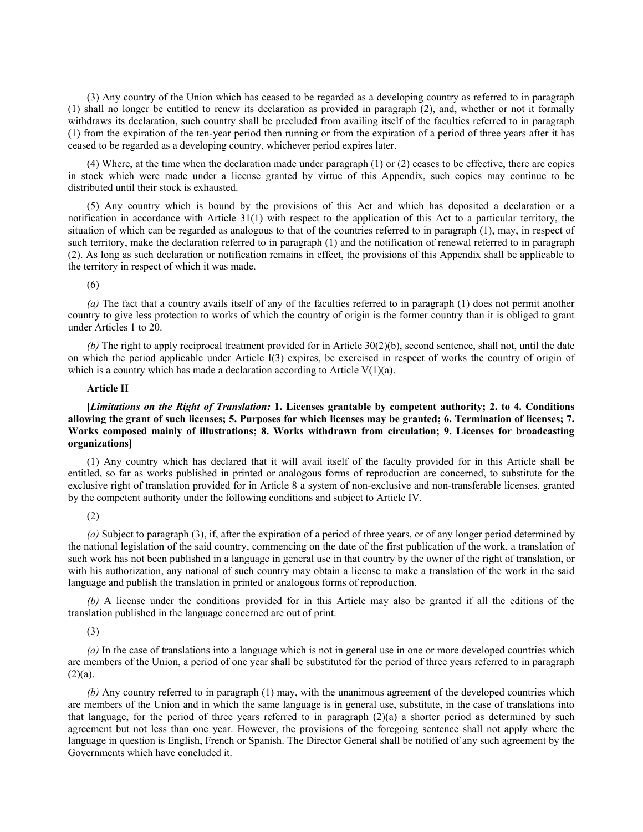(3) Any country of the Union which has ceased to be regarded as a developing country as referred to in paragraph (1) shall no longer be entitled to renew its declaration as provided in paragraph (2), and, whether or not it formally withdraws its declaration, such country shall be precluded from availing itself of the faculties referred to in paragraph (1) from the expiration of the ten-year period then running or from the expiration of a period of three years after it has ceased to be regarded as a developing country, whichever period expires later.

(4) Where, at the time when the declaration made under paragraph (1) or (2) ceases to be effective, there are copies in stock which were made under a license granted by virtue of this Appendix, such copies may continue to be distributed until their stock is exhausted.

(5) Any country which is bound by the provisions of this Act and which has deposited a declaration or a notification in accordance with Article 31(1) with respect to the application of this Act to a particular territory, the situation of which can be regarded as analogous to that of the countries referred to in paragraph (1), may, in respect of such territory, make the declaration referred to in paragraph (1) and the notification of renewal referred to in paragraph (2). As long as such declaration or notification remains in effect, the provisions of this Appendix shall be applicable to the territory in respect of which it was made.

(6)

*(a)* The fact that a country avails itself of any of the faculties referred to in paragraph (1) does not permit another country to give less protection to works of which the country of origin is the former country than it is obliged to grant under Articles 1 to 20.

*(b)* The right to apply reciprocal treatment provided for in Article 30(2)(b), second sentence, shall not, until the date on which the period applicable under Article I(3) expires, be exercised in respect of works the country of origin of which is a country which has made a declaration according to Article  $V(1)(a)$ .

#### **Article II**

# **[***Limitations on the Right of Translation:* **1. Licenses grantable by competent authority; 2. to 4. Conditions allowing the grant of such licenses; 5. Purposes for which licenses may be granted; 6. Termination of licenses; 7. Works composed mainly of illustrations; 8. Works withdrawn from circulation; 9. Licenses for broadcasting organizations]**

(1) Any country which has declared that it will avail itself of the faculty provided for in this Article shall be entitled, so far as works published in printed or analogous forms of reproduction are concerned, to substitute for the exclusive right of translation provided for in Article 8 a system of non-exclusive and non-transferable licenses, granted by the competent authority under the following conditions and subject to Article IV.

# (2)

*(a)* Subject to paragraph (3), if, after the expiration of a period of three years, or of any longer period determined by the national legislation of the said country, commencing on the date of the first publication of the work, a translation of such work has not been published in a language in general use in that country by the owner of the right of translation, or with his authorization, any national of such country may obtain a license to make a translation of the work in the said language and publish the translation in printed or analogous forms of reproduction.

*(b)* A license under the conditions provided for in this Article may also be granted if all the editions of the translation published in the language concerned are out of print.

(3)

*(a)* In the case of translations into a language which is not in general use in one or more developed countries which are members of the Union, a period of one year shall be substituted for the period of three years referred to in paragraph  $(2)(a)$ .

*(b)* Any country referred to in paragraph (1) may, with the unanimous agreement of the developed countries which are members of the Union and in which the same language is in general use, substitute, in the case of translations into that language, for the period of three years referred to in paragraph (2)(a) a shorter period as determined by such agreement but not less than one year. However, the provisions of the foregoing sentence shall not apply where the language in question is English, French or Spanish. The Director General shall be notified of any such agreement by the Governments which have concluded it.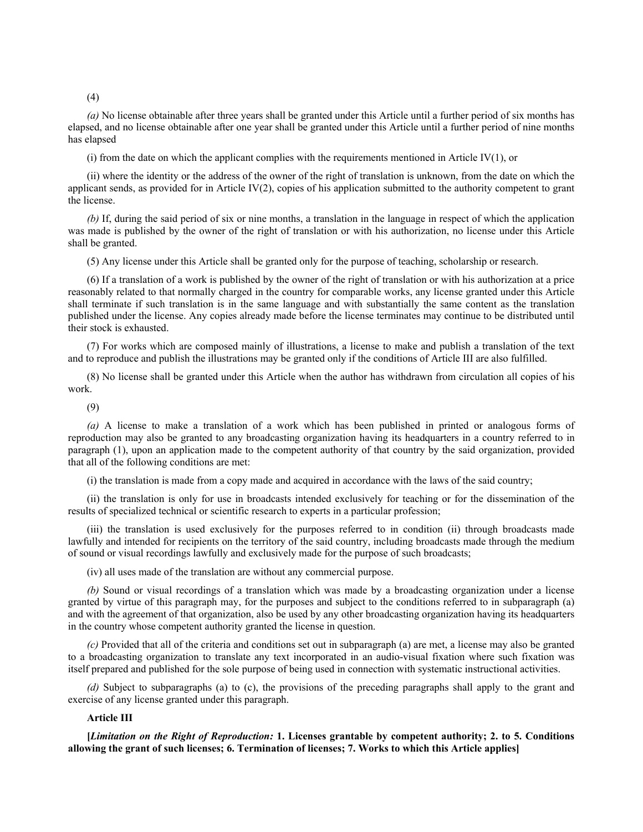(4)

*(a)* No license obtainable after three years shall be granted under this Article until a further period of six months has elapsed, and no license obtainable after one year shall be granted under this Article until a further period of nine months has elapsed

(i) from the date on which the applicant complies with the requirements mentioned in Article IV(1), or

(ii) where the identity or the address of the owner of the right of translation is unknown, from the date on which the applicant sends, as provided for in Article IV(2), copies of his application submitted to the authority competent to grant the license.

*(b)* If, during the said period of six or nine months, a translation in the language in respect of which the application was made is published by the owner of the right of translation or with his authorization, no license under this Article shall be granted.

(5) Any license under this Article shall be granted only for the purpose of teaching, scholarship or research.

(6) If a translation of a work is published by the owner of the right of translation or with his authorization at a price reasonably related to that normally charged in the country for comparable works, any license granted under this Article shall terminate if such translation is in the same language and with substantially the same content as the translation published under the license. Any copies already made before the license terminates may continue to be distributed until their stock is exhausted.

(7) For works which are composed mainly of illustrations, a license to make and publish a translation of the text and to reproduce and publish the illustrations may be granted only if the conditions of Article III are also fulfilled.

(8) No license shall be granted under this Article when the author has withdrawn from circulation all copies of his work.

(9)

*(a)* A license to make a translation of a work which has been published in printed or analogous forms of reproduction may also be granted to any broadcasting organization having its headquarters in a country referred to in paragraph (1), upon an application made to the competent authority of that country by the said organization, provided that all of the following conditions are met:

(i) the translation is made from a copy made and acquired in accordance with the laws of the said country;

(ii) the translation is only for use in broadcasts intended exclusively for teaching or for the dissemination of the results of specialized technical or scientific research to experts in a particular profession;

(iii) the translation is used exclusively for the purposes referred to in condition (ii) through broadcasts made lawfully and intended for recipients on the territory of the said country, including broadcasts made through the medium of sound or visual recordings lawfully and exclusively made for the purpose of such broadcasts;

(iv) all uses made of the translation are without any commercial purpose.

*(b)* Sound or visual recordings of a translation which was made by a broadcasting organization under a license granted by virtue of this paragraph may, for the purposes and subject to the conditions referred to in subparagraph (a) and with the agreement of that organization, also be used by any other broadcasting organization having its headquarters in the country whose competent authority granted the license in question.

*(c)* Provided that all of the criteria and conditions set out in subparagraph (a) are met, a license may also be granted to a broadcasting organization to translate any text incorporated in an audio-visual fixation where such fixation was itself prepared and published for the sole purpose of being used in connection with systematic instructional activities.

*(d)* Subject to subparagraphs (a) to (c), the provisions of the preceding paragraphs shall apply to the grant and exercise of any license granted under this paragraph.

### **Article III**

**[***Limitation on the Right of Reproduction:* **1. Licenses grantable by competent authority; 2. to 5. Conditions allowing the grant of such licenses; 6. Termination of licenses; 7. Works to which this Article applies]**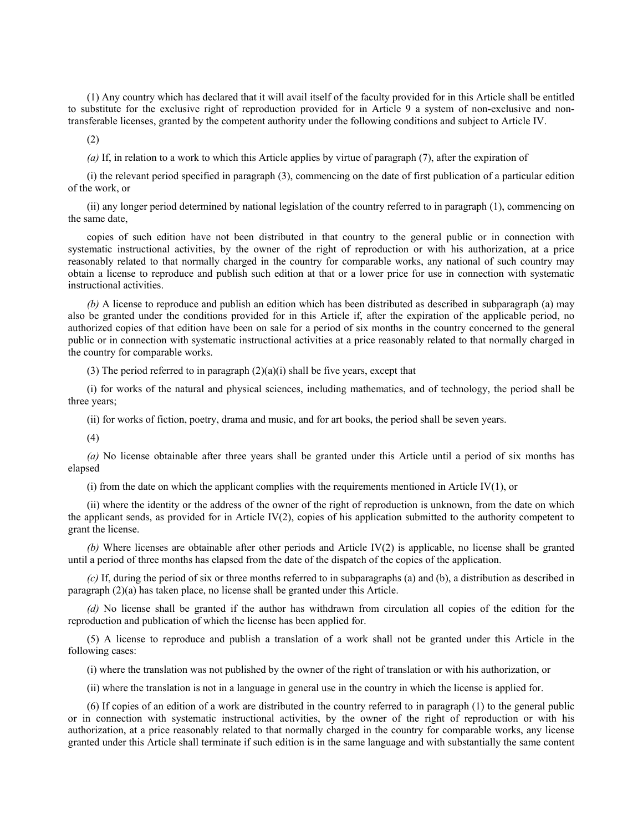(1) Any country which has declared that it will avail itself of the faculty provided for in this Article shall be entitled to substitute for the exclusive right of reproduction provided for in Article 9 a system of non-exclusive and nontransferable licenses, granted by the competent authority under the following conditions and subject to Article IV.

(2)

*(a)* If, in relation to a work to which this Article applies by virtue of paragraph (7), after the expiration of

(i) the relevant period specified in paragraph (3), commencing on the date of first publication of a particular edition of the work, or

(ii) any longer period determined by national legislation of the country referred to in paragraph (1), commencing on the same date,

copies of such edition have not been distributed in that country to the general public or in connection with systematic instructional activities, by the owner of the right of reproduction or with his authorization, at a price reasonably related to that normally charged in the country for comparable works, any national of such country may obtain a license to reproduce and publish such edition at that or a lower price for use in connection with systematic instructional activities.

*(b)* A license to reproduce and publish an edition which has been distributed as described in subparagraph (a) may also be granted under the conditions provided for in this Article if, after the expiration of the applicable period, no authorized copies of that edition have been on sale for a period of six months in the country concerned to the general public or in connection with systematic instructional activities at a price reasonably related to that normally charged in the country for comparable works.

(3) The period referred to in paragraph  $(2)(a)(i)$  shall be five years, except that

(i) for works of the natural and physical sciences, including mathematics, and of technology, the period shall be three years;

(ii) for works of fiction, poetry, drama and music, and for art books, the period shall be seven years.

(4)

*(a)* No license obtainable after three years shall be granted under this Article until a period of six months has elapsed

(i) from the date on which the applicant complies with the requirements mentioned in Article IV(1), or

(ii) where the identity or the address of the owner of the right of reproduction is unknown, from the date on which the applicant sends, as provided for in Article IV $(2)$ , copies of his application submitted to the authority competent to grant the license.

*(b)* Where licenses are obtainable after other periods and Article IV(2) is applicable, no license shall be granted until a period of three months has elapsed from the date of the dispatch of the copies of the application.

*(c)* If, during the period of six or three months referred to in subparagraphs (a) and (b), a distribution as described in paragraph (2)(a) has taken place, no license shall be granted under this Article.

*(d)* No license shall be granted if the author has withdrawn from circulation all copies of the edition for the reproduction and publication of which the license has been applied for.

(5) A license to reproduce and publish a translation of a work shall not be granted under this Article in the following cases:

(i) where the translation was not published by the owner of the right of translation or with his authorization, or

(ii) where the translation is not in a language in general use in the country in which the license is applied for.

(6) If copies of an edition of a work are distributed in the country referred to in paragraph (1) to the general public or in connection with systematic instructional activities, by the owner of the right of reproduction or with his authorization, at a price reasonably related to that normally charged in the country for comparable works, any license granted under this Article shall terminate if such edition is in the same language and with substantially the same content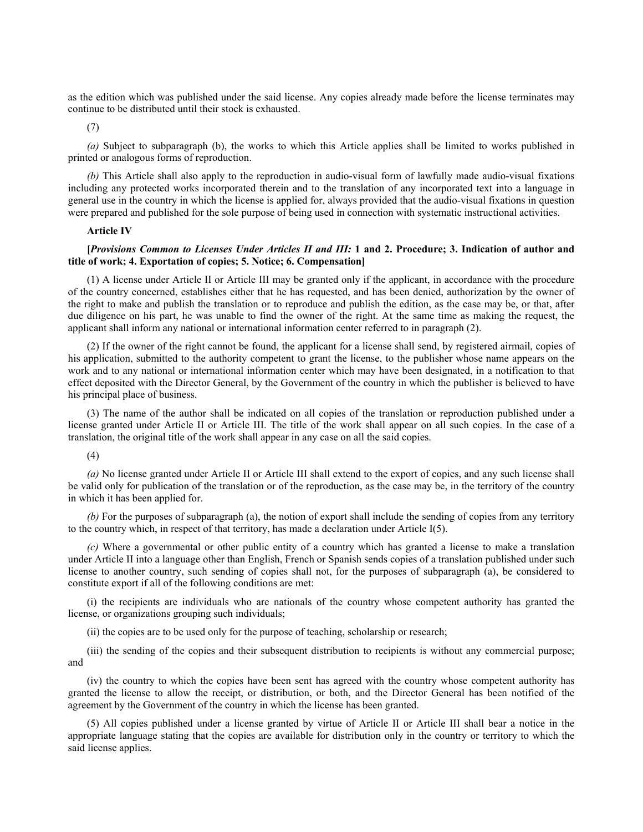as the edition which was published under the said license. Any copies already made before the license terminates may continue to be distributed until their stock is exhausted.

(7)

*(a)* Subject to subparagraph (b), the works to which this Article applies shall be limited to works published in printed or analogous forms of reproduction.

*(b)* This Article shall also apply to the reproduction in audio-visual form of lawfully made audio-visual fixations including any protected works incorporated therein and to the translation of any incorporated text into a language in general use in the country in which the license is applied for, always provided that the audio-visual fixations in question were prepared and published for the sole purpose of being used in connection with systematic instructional activities.

## **Article IV**

## **[***Provisions Common to Licenses Under Articles II and III:* **1 and 2. Procedure; 3. Indication of author and title of work; 4. Exportation of copies; 5. Notice; 6. Compensation]**

(1) A license under Article II or Article III may be granted only if the applicant, in accordance with the procedure of the country concerned, establishes either that he has requested, and has been denied, authorization by the owner of the right to make and publish the translation or to reproduce and publish the edition, as the case may be, or that, after due diligence on his part, he was unable to find the owner of the right. At the same time as making the request, the applicant shall inform any national or international information center referred to in paragraph (2).

(2) If the owner of the right cannot be found, the applicant for a license shall send, by registered airmail, copies of his application, submitted to the authority competent to grant the license, to the publisher whose name appears on the work and to any national or international information center which may have been designated, in a notification to that effect deposited with the Director General, by the Government of the country in which the publisher is believed to have his principal place of business.

(3) The name of the author shall be indicated on all copies of the translation or reproduction published under a license granted under Article II or Article III. The title of the work shall appear on all such copies. In the case of a translation, the original title of the work shall appear in any case on all the said copies.

(4)

*(a)* No license granted under Article II or Article III shall extend to the export of copies, and any such license shall be valid only for publication of the translation or of the reproduction, as the case may be, in the territory of the country in which it has been applied for.

*(b)* For the purposes of subparagraph (a), the notion of export shall include the sending of copies from any territory to the country which, in respect of that territory, has made a declaration under Article I(5).

*(c)* Where a governmental or other public entity of a country which has granted a license to make a translation under Article II into a language other than English, French or Spanish sends copies of a translation published under such license to another country, such sending of copies shall not, for the purposes of subparagraph (a), be considered to constitute export if all of the following conditions are met:

(i) the recipients are individuals who are nationals of the country whose competent authority has granted the license, or organizations grouping such individuals;

(ii) the copies are to be used only for the purpose of teaching, scholarship or research;

(iii) the sending of the copies and their subsequent distribution to recipients is without any commercial purpose; and

(iv) the country to which the copies have been sent has agreed with the country whose competent authority has granted the license to allow the receipt, or distribution, or both, and the Director General has been notified of the agreement by the Government of the country in which the license has been granted.

(5) All copies published under a license granted by virtue of Article II or Article III shall bear a notice in the appropriate language stating that the copies are available for distribution only in the country or territory to which the said license applies.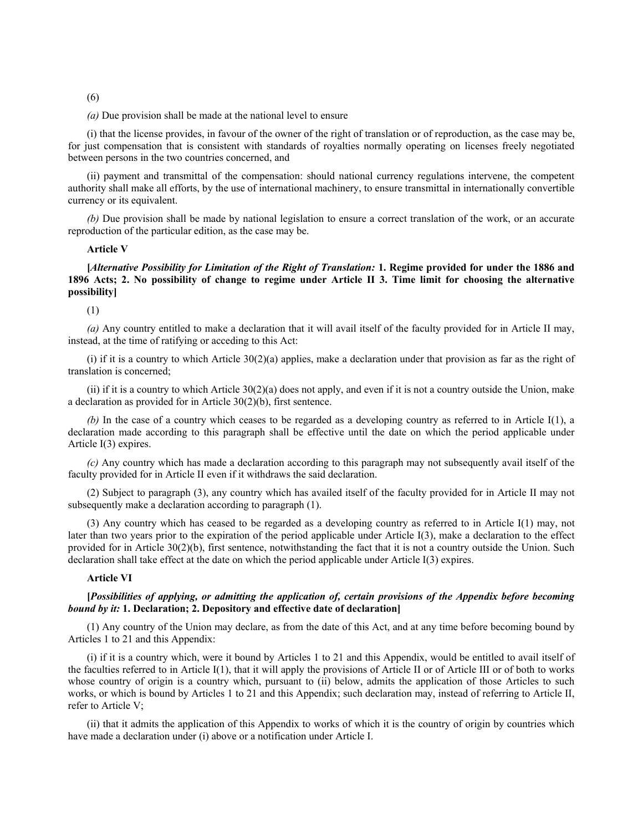(6)

*(a)* Due provision shall be made at the national level to ensure

(i) that the license provides, in favour of the owner of the right of translation or of reproduction, as the case may be, for just compensation that is consistent with standards of royalties normally operating on licenses freely negotiated between persons in the two countries concerned, and

(ii) payment and transmittal of the compensation: should national currency regulations intervene, the competent authority shall make all efforts, by the use of international machinery, to ensure transmittal in internationally convertible currency or its equivalent.

*(b)* Due provision shall be made by national legislation to ensure a correct translation of the work, or an accurate reproduction of the particular edition, as the case may be.

#### **Article V**

**[***Alternative Possibility for Limitation of the Right of Translation:* **1. Regime provided for under the 1886 and 1896 Acts; 2. No possibility of change to regime under Article II 3. Time limit for choosing the alternative possibility]**

(1)

*(a)* Any country entitled to make a declaration that it will avail itself of the faculty provided for in Article II may, instead, at the time of ratifying or acceding to this Act:

(i) if it is a country to which Article  $30(2)(a)$  applies, make a declaration under that provision as far as the right of translation is concerned;

(ii) if it is a country to which Article 30(2)(a) does not apply, and even if it is not a country outside the Union, make a declaration as provided for in Article 30(2)(b), first sentence.

*(b)* In the case of a country which ceases to be regarded as a developing country as referred to in Article I(1), a declaration made according to this paragraph shall be effective until the date on which the period applicable under Article I(3) expires.

*(c)* Any country which has made a declaration according to this paragraph may not subsequently avail itself of the faculty provided for in Article II even if it withdraws the said declaration.

(2) Subject to paragraph (3), any country which has availed itself of the faculty provided for in Article II may not subsequently make a declaration according to paragraph (1).

(3) Any country which has ceased to be regarded as a developing country as referred to in Article I(1) may, not later than two years prior to the expiration of the period applicable under Article I(3), make a declaration to the effect provided for in Article 30(2)(b), first sentence, notwithstanding the fact that it is not a country outside the Union. Such declaration shall take effect at the date on which the period applicable under Article I(3) expires.

#### **Article VI**

## **[***Possibilities of applying, or admitting the application of, certain provisions of the Appendix before becoming bound by it:* **1. Declaration; 2. Depository and effective date of declaration]**

(1) Any country of the Union may declare, as from the date of this Act, and at any time before becoming bound by Articles 1 to 21 and this Appendix:

(i) if it is a country which, were it bound by Articles 1 to 21 and this Appendix, would be entitled to avail itself of the faculties referred to in Article I(1), that it will apply the provisions of Article II or of Article III or of both to works whose country of origin is a country which, pursuant to (ii) below, admits the application of those Articles to such works, or which is bound by Articles 1 to 21 and this Appendix; such declaration may, instead of referring to Article II, refer to Article V;

(ii) that it admits the application of this Appendix to works of which it is the country of origin by countries which have made a declaration under (i) above or a notification under Article I.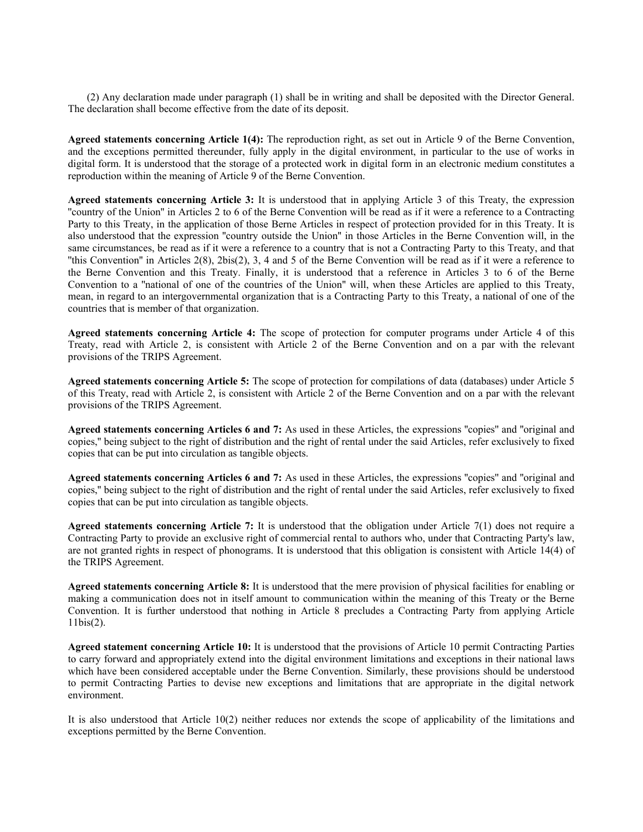(2) Any declaration made under paragraph (1) shall be in writing and shall be deposited with the Director General. The declaration shall become effective from the date of its deposit.

**Agreed statements concerning Article 1(4):** The reproduction right, as set out in Article 9 of the Berne Convention, and the exceptions permitted thereunder, fully apply in the digital environment, in particular to the use of works in digital form. It is understood that the storage of a protected work in digital form in an electronic medium constitutes a reproduction within the meaning of Article 9 of the Berne Convention.

**Agreed statements concerning Article 3:** It is understood that in applying Article 3 of this Treaty, the expression ''country of the Union'' in Articles 2 to 6 of the Berne Convention will be read as if it were a reference to a Contracting Party to this Treaty, in the application of those Berne Articles in respect of protection provided for in this Treaty. It is also understood that the expression ''country outside the Union'' in those Articles in the Berne Convention will, in the same circumstances, be read as if it were a reference to a country that is not a Contracting Party to this Treaty, and that ''this Convention'' in Articles 2(8), 2bis(2), 3, 4 and 5 of the Berne Convention will be read as if it were a reference to the Berne Convention and this Treaty. Finally, it is understood that a reference in Articles 3 to 6 of the Berne Convention to a ''national of one of the countries of the Union'' will, when these Articles are applied to this Treaty, mean, in regard to an intergovernmental organization that is a Contracting Party to this Treaty, a national of one of the countries that is member of that organization.

**Agreed statements concerning Article 4:** The scope of protection for computer programs under Article 4 of this Treaty, read with Article 2, is consistent with Article 2 of the Berne Convention and on a par with the relevant provisions of the TRIPS Agreement.

**Agreed statements concerning Article 5:** The scope of protection for compilations of data (databases) under Article 5 of this Treaty, read with Article 2, is consistent with Article 2 of the Berne Convention and on a par with the relevant provisions of the TRIPS Agreement.

**Agreed statements concerning Articles 6 and 7:** As used in these Articles, the expressions ''copies'' and ''original and copies,'' being subject to the right of distribution and the right of rental under the said Articles, refer exclusively to fixed copies that can be put into circulation as tangible objects.

**Agreed statements concerning Articles 6 and 7:** As used in these Articles, the expressions ''copies'' and ''original and copies,'' being subject to the right of distribution and the right of rental under the said Articles, refer exclusively to fixed copies that can be put into circulation as tangible objects.

**Agreed statements concerning Article 7:** It is understood that the obligation under Article 7(1) does not require a Contracting Party to provide an exclusive right of commercial rental to authors who, under that Contracting Party's law, are not granted rights in respect of phonograms. It is understood that this obligation is consistent with Article 14(4) of the TRIPS Agreement.

**Agreed statements concerning Article 8:** It is understood that the mere provision of physical facilities for enabling or making a communication does not in itself amount to communication within the meaning of this Treaty or the Berne Convention. It is further understood that nothing in Article 8 precludes a Contracting Party from applying Article 11bis(2).

**Agreed statement concerning Article 10:** It is understood that the provisions of Article 10 permit Contracting Parties to carry forward and appropriately extend into the digital environment limitations and exceptions in their national laws which have been considered acceptable under the Berne Convention. Similarly, these provisions should be understood to permit Contracting Parties to devise new exceptions and limitations that are appropriate in the digital network environment.

It is also understood that Article 10(2) neither reduces nor extends the scope of applicability of the limitations and exceptions permitted by the Berne Convention.